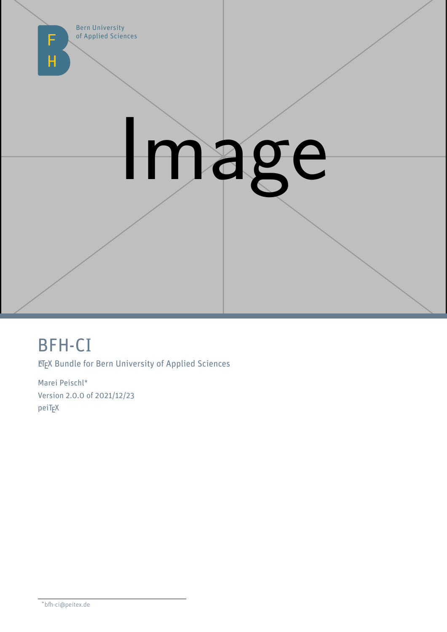

# Image

# BFH-CI

**ETEX Bundle for Bern University of Applied Sciences** 

Marei Peischl\* Version 2.0.0 of 2021/12/23 peiT<sub>F</sub>X

\*bfh-ci@peitex.de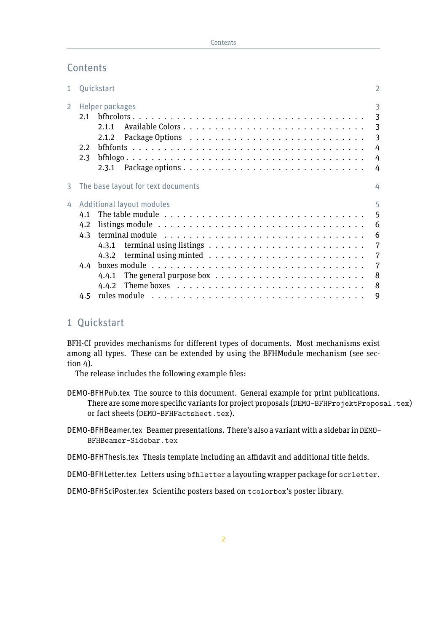# **Contents**

| $\mathbf{1}$   | Quickstart                                                                                                                                                                                                                                                                | 2                                                      |
|----------------|---------------------------------------------------------------------------------------------------------------------------------------------------------------------------------------------------------------------------------------------------------------------------|--------------------------------------------------------|
| $\overline{2}$ | Helper packages<br>2.1<br>2.1.1<br>2.1.2<br>2.2<br>2.3<br>2.3.1                                                                                                                                                                                                           | 3<br>3<br>$\overline{3}$<br>3<br>4<br>4<br>4           |
| 3              | The base layout for text documents                                                                                                                                                                                                                                        | 4                                                      |
| 4              | Additional layout modules<br>4.1<br>listings module $\ldots \ldots \ldots \ldots \ldots \ldots \ldots \ldots \ldots \ldots$<br>4.2<br>4.3<br>4.3.1<br>4.3.2<br>4.4<br>The general purpose box $\ldots \ldots \ldots \ldots \ldots \ldots \ldots \ldots$<br>4.4.1<br>4.4.2 | 5<br>5<br>6<br>6<br>7<br>$\overline{7}$<br>7<br>8<br>8 |
|                | 4.5                                                                                                                                                                                                                                                                       | 9                                                      |

# <span id="page-1-0"></span>1 Quickstart

BFH-CI provides mechanisms for different types of documents. Most mechanisms exist among all types. These can be extended by using the BFHModule mechanism (see [sec](#page-4-0)[tion 4\)](#page-4-0).

The release includes the following example files:

- DEMO-BFHPub.tex The source to this document. General example for print publications. There are some more specific variants for project proposals (DEMO-BFHProjektProposal.tex) or fact sheets (DEMO-BFHFactsheet.tex).
- DEMO-BFHBeamer.tex Beamer presentations. There's also a variant with a sidebar in DEMO-BFHBeamer-Sidebar.tex

DEMO-BFHThesis.tex Thesis template including an affidavit and additional title fields.

DEMO-BFHLetter.tex Letters using bfhletter a layouting wrapper package for scrletter.

DEMO-BFHSciPoster.tex Scientific posters based on tcolorbox's poster library.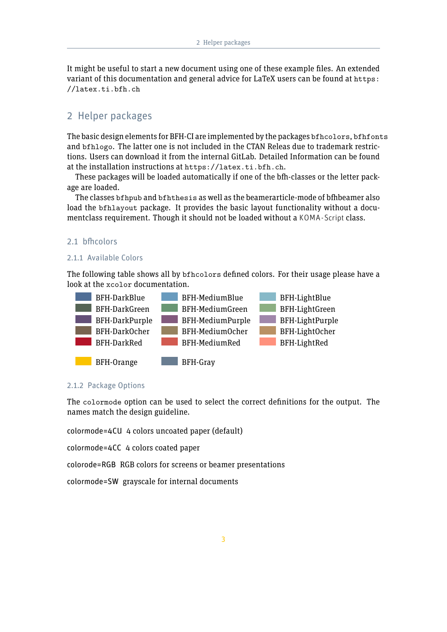It might be useful to start a new document using one of these example files. An extended variant of this documentation and general advice for LaTeX users can be found at [https:](https://latex.ti.bfh.ch) [//latex.ti.bfh.ch](https://latex.ti.bfh.ch)

# <span id="page-2-0"></span>2 Helper packages

The basic design elements for BFH-CI are implemented by the packages bfhcolors, bfhfonts and bfhlogo. The latter one is not included in the CTAN Releas due to trademark restrictions. Users can download it from the internal GitLab. Detailed Information can be found at the installation instructions at <https://latex.ti.bfh.ch>.

These packages will be loaded automatically if one of the bfh-classes or the letter package are loaded.

The classes bfhpub and bfhthesis as well as the beamerarticle-mode of bfhbeamer also load the bfhlayout package. It provides the basic layout functionality without a documentclass requirement. Though it should not be loaded without a KOMA-Script class.

#### <span id="page-2-1"></span>2.1 bfhcolors

#### <span id="page-2-2"></span>2.1.1 Available Colors

The following table shows all by bfhcolors defined colors. For their usage please have a look at the xcolor documentation.



#### <span id="page-2-3"></span>2.1.2 Package Options

The colormode option can be used to select the correct definitions for the output. The names match the design guideline.

colormode=4CU 4 colors uncoated paper (default)

colormode=4CC 4 colors coated paper

colorode=RGB RGB colors for screens or beamer presentations

colormode=SW grayscale for internal documents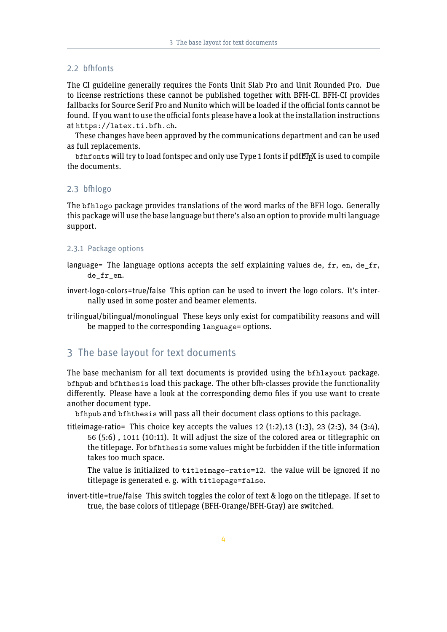#### <span id="page-3-0"></span>2.2 bfhfonts

The CI guideline generally requires the Fonts Unit Slab Pro and Unit Rounded Pro. Due to license restrictions these cannot be published together with BFH-CI. BFH-CI provides fallbacks for Source Serif Pro and Nunito which will be loaded if the official fonts cannot be found. If you want to use the official fonts please have a look at the installation instructions at <https://latex.ti.bfh.ch>.

These changes have been approved by the communications department and can be used as full replacements.

 $bf$  bfhfonts will try to load fontspec and only use Type 1 fonts if pdf $_{\rm EEX}$  is used to compile the documents.

#### <span id="page-3-1"></span>2.3 bfhlogo

The bfhlogo package provides translations of the word marks of the BFH logo. Generally this package will use the base language but there's also an option to provide multi language support.

#### <span id="page-3-2"></span>2.3.1 Package options

- language= The language options accepts the self explaining values de, fr, en, de fr, de fr en.
- invert-logo-colors=true/false This option can be used to invert the logo colors. It's internally used in some poster and beamer elements.
- trilingual/bilingual/monolingual These keys only exist for compatibility reasons and will be mapped to the corresponding language= options.

# <span id="page-3-3"></span>3 The base layout for text documents

The base mechanism for all text documents is provided using the bfhlayout package. bfhpub and bfhthesis load this package. The other bfh-classes provide the functionality differently. Please have a look at the corresponding demo files if you use want to create another document type.

bfhpub and bfhthesis will pass all their document class options to this package.

titleimage-ratio= This choice key accepts the values  $12$  (1:2), 13 (1:3), 23 (2:3), 34 (3:4), 56 (5:6) , 1011 (10:11). It will adjust the size of the colored area or titlegraphic on the titlepage. For bfhthesis some values might be forbidden if the title information takes too much space.

The value is initialized to titleimage-ratio=12. the value will be ignored if no titlepage is generated e. g. with titlepage=false.

invert-title=true/false This switch toggles the color of text & logo on the titlepage. If set to true, the base colors of titlepage (BFH-Orange/BFH-Gray) are switched.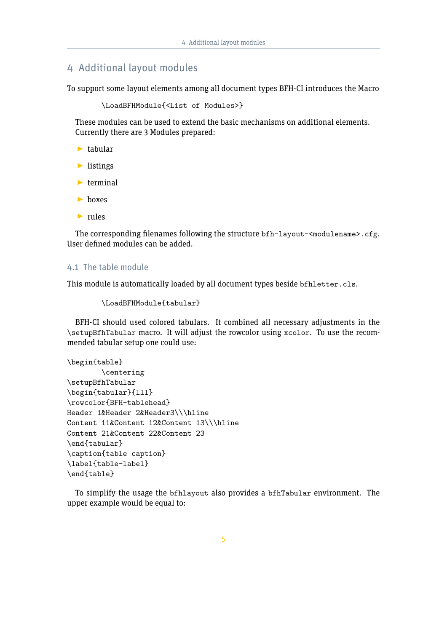# <span id="page-4-0"></span>4 Additional layout modules

To support some layout elements among all document types BFH-CI introduces the Macro

\LoadBFHModule{<List of Modules>}

These modules can be used to extend the basic mechanisms on additional elements. Currently there are 3 Modules prepared:

- $\blacktriangleright$  tabular
- $\blacktriangleright$  listings
- $\blacktriangleright$  terminal
- $\blacktriangleright$  boxes
- $\blacktriangleright$  rules

The corresponding filenames following the structure bfh-layout-<modulename>.cfg. User defined modules can be added.

# <span id="page-4-1"></span>4.1 The table module

This module is automatically loaded by all document types beside bfhletter.cls.

```
\LoadBFHModule{tabular}
```
BFH-CI should used colored tabulars. It combined all necessary adjustments in the \setupBfhTabular macro. It will adjust the rowcolor using xcolor. To use the recommended tabular setup one could use:

```
\begin{table}
        \centering
\setupBfhTabular
\begin{tabular}{lll}
\rowcolor{BFH-tablehead}
Header 1&Header 2&Header3\\\hline
Content 11&Content 12&Content 13\\\hline
Content 21&Content 22&Content 23
\end{tabular}
\caption{table caption}
\label{table-label}
\end{table}
```
To simplify the usage the bfhlayout also provides a bfhTabular environment. The upper example would be equal to: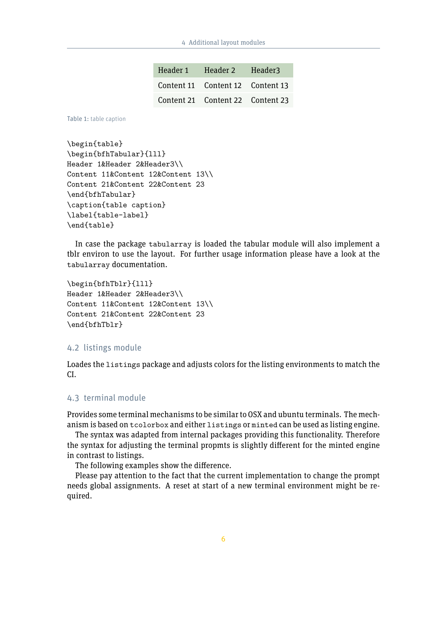| Header 1 | Header 2 Header3                 |  |
|----------|----------------------------------|--|
|          | Content 11 Content 12 Content 13 |  |
|          | Content 21 Content 22 Content 23 |  |

Table 1: table caption

```
\begin{table}
\begin{bfhTabular}{lll}
Header 1&Header 2&Header3\\
Content 11&Content 12&Content 13\\
Content 21&Content 22&Content 23
\end{bfhTabular}
\caption{table caption}
\label{table-label}
\end{table}
```
In case the package tabularray is loaded the tabular module will also implement a tblr environ to use the layout. For further usage information please have a look at the tabularray documentation.

```
\begin{bfhTblr}{lll}
Header 1&Header 2&Header3\\
Content 11&Content 12&Content 13\\
Content 21&Content 22&Content 23
\end{bfhTblr}
```
#### <span id="page-5-0"></span>4.2 listings module

Loades the listings package and adjusts colors for the listing environments to match the CI.

# <span id="page-5-1"></span>4.3 terminal module

Provides some terminal mechanisms to be similar to OSX and ubuntu terminals. The mechanism is based on tcolorbox and either listings or minted can be used as listing engine.

The syntax was adapted from internal packages providing this functionality. Therefore the syntax for adjusting the terminal propmts is slightly different for the minted engine in contrast to listings.

The following examples show the difference.

Please pay attention to the fact that the current implementation to change the prompt needs global assignments. A reset at start of a new terminal environment might be required.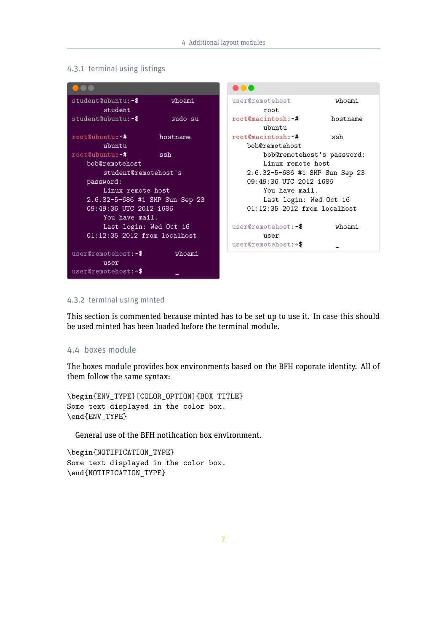### <span id="page-6-0"></span>4.3.1 terminal using listings

|                                |          | $\blacksquare$                 |          |
|--------------------------------|----------|--------------------------------|----------|
| student@ubuntu:~\$             | whoami   | user@remotehost                | whoami   |
| student                        |          | root                           |          |
| student@ubuntu:~\$             | sudo su  | root@macintosh:~#              | hostname |
|                                |          | ubuntu                         |          |
| root@ubuntu:~#                 | hostname | root@macintosh:~#              | ssh      |
| ubuntu                         |          | bob@remotehost                 |          |
| root@ubuntu:~#                 | ssh      | bob@remotehost's password:     |          |
| bob@remotehost                 |          | Linux remote host              |          |
| student@remotehost's           |          | 2.6.32-5-686 #1 SMP Sun Sep 23 |          |
| password:                      |          | 09:49:36 UTC 2012 1686         |          |
| Linux remote host              |          | You have mail.                 |          |
| 2.6.32-5-686 #1 SMP Sun Sep 23 |          | Last login: Wed Oct 16         |          |
| 09:49:36 UTC 2012 1686         |          | $01:12:35$ 2012 from localhost |          |
| You have mail.                 |          |                                |          |
| Last login: Wed Oct 16         |          | user@remotehost:~\$            | whoami   |
| $01:12:35$ 2012 from localhost |          | user                           |          |
|                                |          | user@remotehost:~\$            |          |
| user@remotehost:~\$            | whoami   |                                |          |
| user                           |          |                                |          |
| user@remotehost:~\$            |          |                                |          |

### <span id="page-6-1"></span>4.3.2 terminal using minted

This section is commented because minted has to be set up to use it. In case this should be used minted has been loaded before the terminal module.

# <span id="page-6-2"></span>4.4 boxes module

The boxes module provides box environments based on the BFH coporate identity. All of them follow the same syntax:

```
\begin{ENV_TYPE}[COLOR_OPTION]{BOX TITLE}
Some text displayed in the color box.
\end{ENV_TYPE}
```
General use of the BFH notification box environment.

```
\begin{NOTIFICATION_TYPE}
Some text displayed in the color box.
\end{NOTIFICATION_TYPE}
```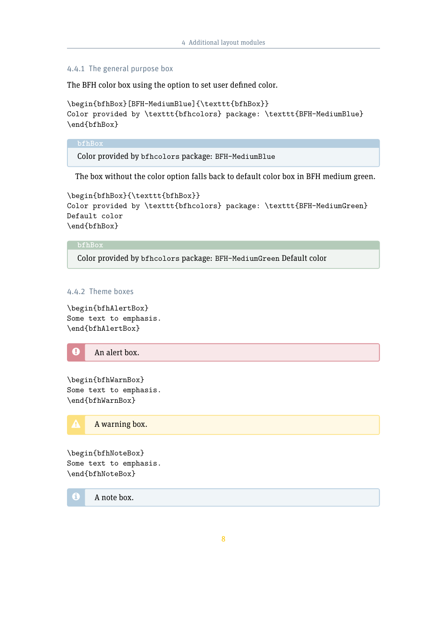#### <span id="page-7-0"></span>4.4.1 The general purpose box

The BFH color box using the option to set user defined color.

```
\begin{bfhBox}[BFH-MediumBlue]{\texttt{bfhBox}}
Color provided by \texttt{bfhcolors} package: \texttt{BFH-MediumBlue}
\end{bfhBox}
```
**bfhBox**

Color provided by bfhcolors package: BFH-MediumBlue

The box without the color option falls back to default color box in BFH medium green.

```
\begin{bfhBox}{\texttt{bfhBox}}
Color provided by \texttt{bfhcolors} package: \texttt{BFH-MediumGreen}
Default color
\end{bfhBox}
```
#### **bfhBox**

Color provided by bfhcolors package: BFH-MediumGreen Default color

# <span id="page-7-1"></span>4.4.2 Theme boxes

\begin{bfhAlertBox} Some text to emphasis. \end{bfhAlertBox}



\begin{bfhWarnBox} Some text to emphasis. \end{bfhWarnBox}



\begin{bfhNoteBox} Some text to emphasis. \end{bfhNoteBox}

**i** A note box.